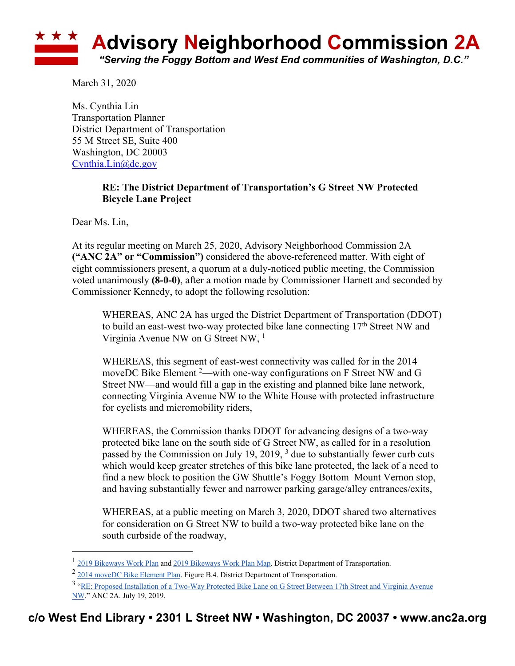

March 31, 2020

Ms. Cynthia Lin Transportation Planner District Department of Transportation 55 M Street SE, Suite 400 Washington, DC 20003 Cynthia.Lin@dc.gov

## **RE: The District Department of Transportation's G Street NW Protected Bicycle Lane Project**

Dear Ms. Lin,

At its regular meeting on March 25, 2020, Advisory Neighborhood Commission 2A **("ANC 2A" or "Commission")** considered the above-referenced matter. With eight of eight commissioners present, a quorum at a duly-noticed public meeting, the Commission voted unanimously **(8-0-0)**, after a motion made by Commissioner Harnett and seconded by Commissioner Kennedy, to adopt the following resolution:

WHEREAS, ANC 2A has urged the District Department of Transportation (DDOT) to build an east-west two-way protected bike lane connecting 17<sup>th</sup> Street NW and Virginia Avenue NW on G Street NW, <sup>1</sup>

WHEREAS, this segment of east-west connectivity was called for in the 2014 moveDC Bike Element <sup>2</sup>—with one-way configurations on F Street NW and G Street NW—and would fill a gap in the existing and planned bike lane network, connecting Virginia Avenue NW to the White House with protected infrastructure for cyclists and micromobility riders,

WHEREAS, the Commission thanks DDOT for advancing designs of a two-way protected bike lane on the south side of G Street NW, as called for in a resolution passed by the Commission on July 19, 2019, <sup>3</sup> due to substantially fewer curb cuts which would keep greater stretches of this bike lane protected, the lack of a need to find a new block to position the GW Shuttle's Foggy Bottom–Mount Vernon stop, and having substantially fewer and narrower parking garage/alley entrances/exits,

WHEREAS, at a public meeting on March 3, 2020, DDOT shared two alternatives for consideration on G Street NW to build a two-way protected bike lane on the south curbside of the roadway,

<sup>&</sup>lt;sup>1</sup> 2019 Bikeways Work Plan and 2019 Bikeways Work Plan Map. District Department of Transportation.

<sup>&</sup>lt;sup>2</sup> 2014 moveDC Bike Element Plan. Figure B.4. District Department of Transportation.

<sup>3</sup> "RE: Proposed Installation of a Two-Way Protected Bike Lane on G Street Between 17th Street and Virginia Avenue NW." ANC 2A. July 19, 2019.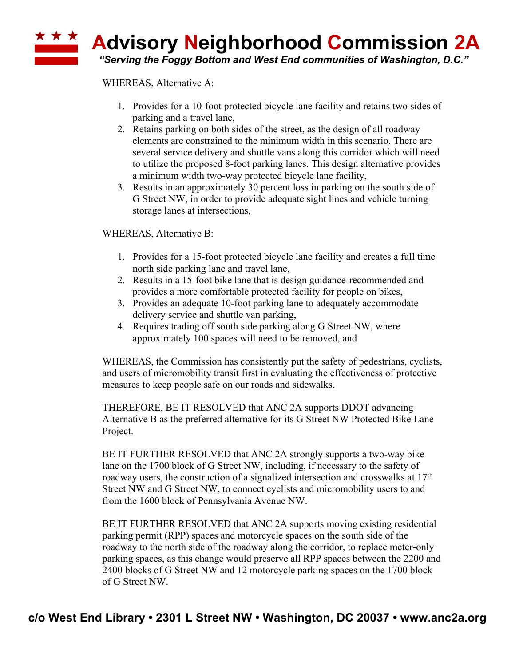## \* \* \* **Advisory Neighborhood Commission 2A** *"Serving the Foggy Bottom and West End communities of Washington, D.C."*

WHEREAS, Alternative A:

- 1. Provides for a 10-foot protected bicycle lane facility and retains two sides of parking and a travel lane,
- 2. Retains parking on both sides of the street, as the design of all roadway elements are constrained to the minimum width in this scenario. There are several service delivery and shuttle vans along this corridor which will need to utilize the proposed 8-foot parking lanes. This design alternative provides a minimum width two-way protected bicycle lane facility,
- 3. Results in an approximately 30 percent loss in parking on the south side of G Street NW, in order to provide adequate sight lines and vehicle turning storage lanes at intersections,

WHEREAS, Alternative B:

- 1. Provides for a 15-foot protected bicycle lane facility and creates a full time north side parking lane and travel lane,
- 2. Results in a 15-foot bike lane that is design guidance-recommended and provides a more comfortable protected facility for people on bikes,
- 3. Provides an adequate 10-foot parking lane to adequately accommodate delivery service and shuttle van parking,
- 4. Requires trading off south side parking along G Street NW, where approximately 100 spaces will need to be removed, and

WHEREAS, the Commission has consistently put the safety of pedestrians, cyclists, and users of micromobility transit first in evaluating the effectiveness of protective measures to keep people safe on our roads and sidewalks.

THEREFORE, BE IT RESOLVED that ANC 2A supports DDOT advancing Alternative B as the preferred alternative for its G Street NW Protected Bike Lane Project.

BE IT FURTHER RESOLVED that ANC 2A strongly supports a two-way bike lane on the 1700 block of G Street NW, including, if necessary to the safety of roadway users, the construction of a signalized intersection and crosswalks at 17th Street NW and G Street NW, to connect cyclists and micromobility users to and from the 1600 block of Pennsylvania Avenue NW.

BE IT FURTHER RESOLVED that ANC 2A supports moving existing residential parking permit (RPP) spaces and motorcycle spaces on the south side of the roadway to the north side of the roadway along the corridor, to replace meter-only parking spaces, as this change would preserve all RPP spaces between the 2200 and 2400 blocks of G Street NW and 12 motorcycle parking spaces on the 1700 block of G Street NW.